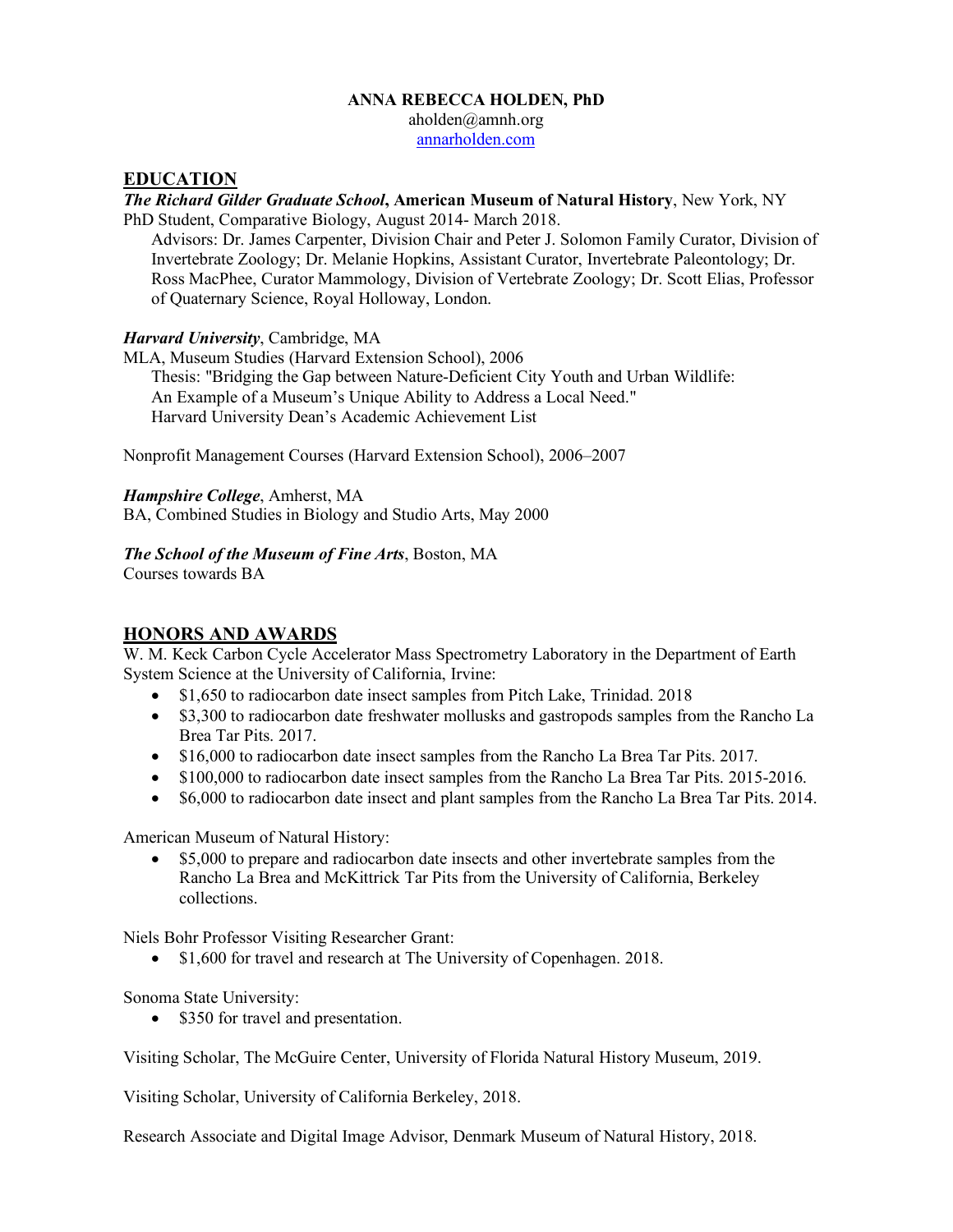#### **ANNA REBECCA HOLDEN, PhD**

aholden@amnh.org

annarholden.com

## **EDUCATION**

*The Richard Gilder Graduate School***, American Museum of Natural History**, New York, NY PhD Student, Comparative Biology, August 2014- March 2018.

Advisors: Dr. James Carpenter, Division Chair and Peter J. Solomon Family Curator, Division of Invertebrate Zoology; Dr. Melanie Hopkins, Assistant Curator, Invertebrate Paleontology; Dr. Ross MacPhee, Curator Mammology, Division of Vertebrate Zoology; Dr. Scott Elias, Professor of Quaternary Science, Royal Holloway, London.

## *Harvard University*, Cambridge, MA

MLA, Museum Studies (Harvard Extension School), 2006 Thesis: "Bridging the Gap between Nature-Deficient City Youth and Urban Wildlife: An Example of a Museum's Unique Ability to Address a Local Need." Harvard University Dean's Academic Achievement List

Nonprofit Management Courses (Harvard Extension School), 2006–2007

## *Hampshire College*, Amherst, MA

BA, Combined Studies in Biology and Studio Arts, May 2000

## *The School of the Museum of Fine Arts*, Boston, MA

Courses towards BA

# **HONORS AND AWARDS**

W. M. Keck Carbon Cycle Accelerator Mass Spectrometry Laboratory in the Department of Earth System Science at the University of California, Irvine:

- \$1,650 to radiocarbon date insect samples from Pitch Lake, Trinidad. 2018
- \$3,300 to radiocarbon date freshwater mollusks and gastropods samples from the Rancho La Brea Tar Pits. 2017.
- \$16,000 to radiocarbon date insect samples from the Rancho La Brea Tar Pits. 2017.
- \$100,000 to radiocarbon date insect samples from the Rancho La Brea Tar Pits. 2015-2016.
- \$6,000 to radiocarbon date insect and plant samples from the Rancho La Brea Tar Pits. 2014.

American Museum of Natural History:

• \$5,000 to prepare and radiocarbon date insects and other invertebrate samples from the Rancho La Brea and McKittrick Tar Pits from the University of California, Berkeley collections.

Niels Bohr Professor Visiting Researcher Grant:

• \$1,600 for travel and research at The University of Copenhagen. 2018.

Sonoma State University:

• \$350 for travel and presentation.

Visiting Scholar, The McGuire Center, University of Florida Natural History Museum, 2019.

Visiting Scholar, University of California Berkeley, 2018.

Research Associate and Digital Image Advisor, Denmark Museum of Natural History, 2018.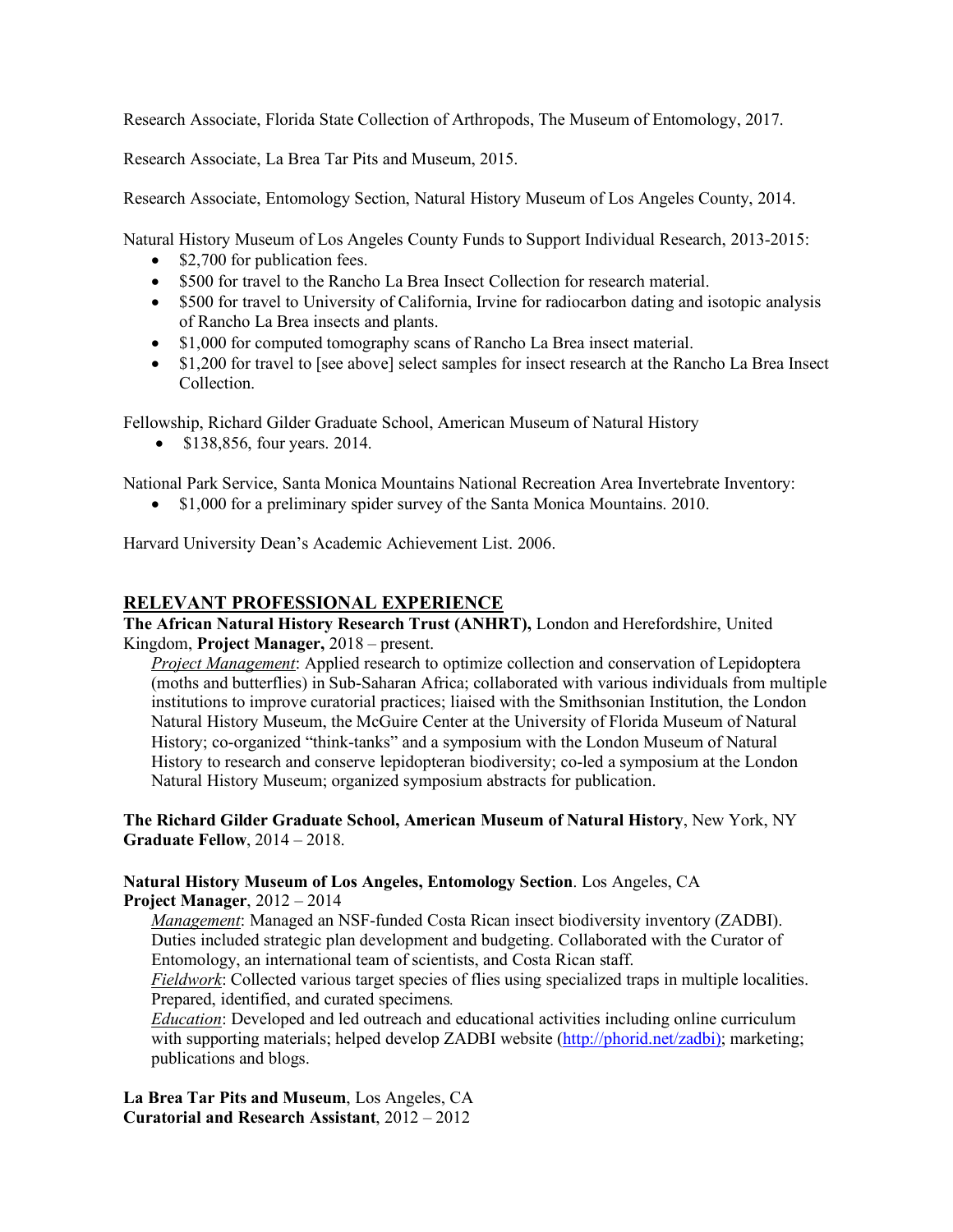Research Associate, Florida State Collection of Arthropods, The Museum of Entomology, 2017.

Research Associate, La Brea Tar Pits and Museum, 2015.

Research Associate, Entomology Section, Natural History Museum of Los Angeles County, 2014.

Natural History Museum of Los Angeles County Funds to Support Individual Research, 2013-2015:

- \$2,700 for publication fees.
- \$500 for travel to the Rancho La Brea Insect Collection for research material.
- \$500 for travel to University of California, Irvine for radiocarbon dating and isotopic analysis of Rancho La Brea insects and plants.
- \$1,000 for computed tomography scans of Rancho La Brea insect material.
- \$1,200 for travel to [see above] select samples for insect research at the Rancho La Brea Insect Collection.

Fellowship, Richard Gilder Graduate School, American Museum of Natural History

• \$138,856, four years. 2014.

National Park Service, Santa Monica Mountains National Recreation Area Invertebrate Inventory:

• \$1,000 for a preliminary spider survey of the Santa Monica Mountains. 2010.

Harvard University Dean's Academic Achievement List. 2006.

# **RELEVANT PROFESSIONAL EXPERIENCE**

**The African Natural History Research Trust (ANHRT),** London and Herefordshire, United Kingdom, **Project Manager,** 2018 – present.

*Project Management*: Applied research to optimize collection and conservation of Lepidoptera (moths and butterflies) in Sub-Saharan Africa; collaborated with various individuals from multiple institutions to improve curatorial practices; liaised with the Smithsonian Institution, the London Natural History Museum, the McGuire Center at the University of Florida Museum of Natural History; co-organized "think-tanks" and a symposium with the London Museum of Natural History to research and conserve lepidopteran biodiversity; co-led a symposium at the London Natural History Museum; organized symposium abstracts for publication.

**The Richard Gilder Graduate School, American Museum of Natural History**, New York, NY **Graduate Fellow**, 2014 – 2018.

#### **Natural History Museum of Los Angeles, Entomology Section**. Los Angeles, CA **Project Manager**, 2012 – 2014

*Management*: Managed an NSF-funded Costa Rican insect biodiversity inventory (ZADBI). Duties included strategic plan development and budgeting. Collaborated with the Curator of Entomology, an international team of scientists, and Costa Rican staff.

*Fieldwork*: Collected various target species of flies using specialized traps in multiple localities. Prepared, identified, and curated specimens*.*

*Education*: Developed and led outreach and educational activities including online curriculum with supporting materials; helped develop ZADBI website (http://phorid.net/zadbi); marketing; publications and blogs.

**La Brea Tar Pits and Museum**, Los Angeles, CA **Curatorial and Research Assistant**, 2012 – 2012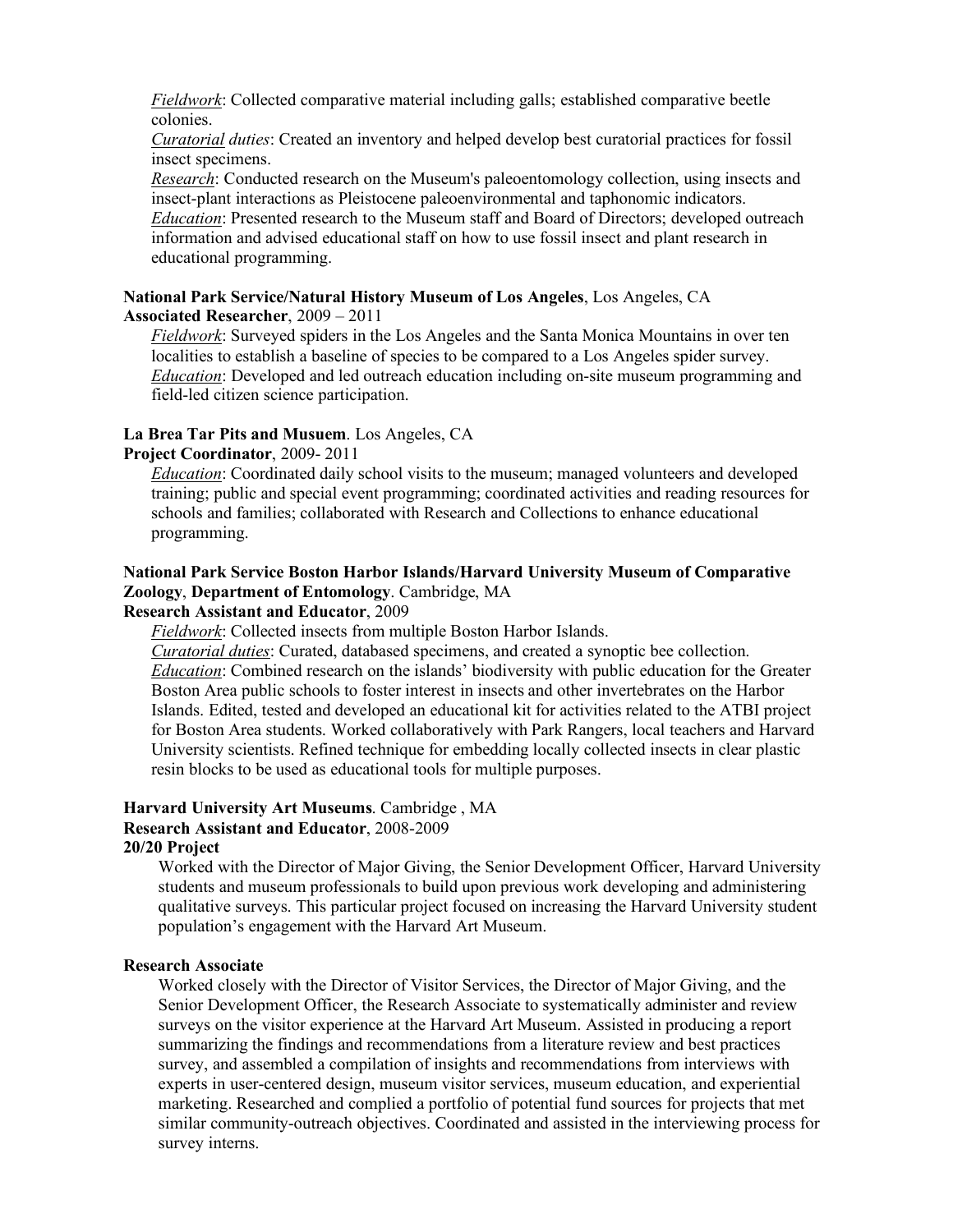*Fieldwork*: Collected comparative material including galls; established comparative beetle colonies.

*Curatorial duties*: Created an inventory and helped develop best curatorial practices for fossil insect specimens.

*Research*: Conducted research on the Museum's paleoentomology collection, using insects and insect-plant interactions as Pleistocene paleoenvironmental and taphonomic indicators. *Education*: Presented research to the Museum staff and Board of Directors; developed outreach information and advised educational staff on how to use fossil insect and plant research in educational programming.

#### **National Park Service/Natural History Museum of Los Angeles**, Los Angeles, CA **Associated Researcher**, 2009 – 2011

*Fieldwork*: Surveyed spiders in the Los Angeles and the Santa Monica Mountains in over ten localities to establish a baseline of species to be compared to a Los Angeles spider survey. *Education*: Developed and led outreach education including on-site museum programming and field-led citizen science participation.

#### **La Brea Tar Pits and Musuem**. Los Angeles, CA

#### **Project Coordinator**, 2009- 2011

*Education*: Coordinated daily school visits to the museum; managed volunteers and developed training; public and special event programming; coordinated activities and reading resources for schools and families; collaborated with Research and Collections to enhance educational programming.

# **National Park Service Boston Harbor Islands/Harvard University Museum of Comparative Zoology**, **Department of Entomology**. Cambridge, MA

## **Research Assistant and Educator**, 2009

*Fieldwork*: Collected insects from multiple Boston Harbor Islands.

*Curatorial duties*: Curated, databased specimens, and created a synoptic bee collection. *Education*: Combined research on the islands' biodiversity with public education for the Greater Boston Area public schools to foster interest in insects and other invertebrates on the Harbor Islands. Edited, tested and developed an educational kit for activities related to the ATBI project for Boston Area students. Worked collaboratively with Park Rangers, local teachers and Harvard University scientists. Refined technique for embedding locally collected insects in clear plastic resin blocks to be used as educational tools for multiple purposes.

#### **Harvard University Art Museums**. Cambridge , MA **Research Assistant and Educator**, 2008-2009

## **20/20 Project**

Worked with the Director of Major Giving, the Senior Development Officer, Harvard University students and museum professionals to build upon previous work developing and administering qualitative surveys. This particular project focused on increasing the Harvard University student population's engagement with the Harvard Art Museum.

## **Research Associate**

Worked closely with the Director of Visitor Services, the Director of Major Giving, and the Senior Development Officer, the Research Associate to systematically administer and review surveys on the visitor experience at the Harvard Art Museum. Assisted in producing a report summarizing the findings and recommendations from a literature review and best practices survey, and assembled a compilation of insights and recommendations from interviews with experts in user-centered design, museum visitor services, museum education, and experiential marketing. Researched and complied a portfolio of potential fund sources for projects that met similar community-outreach objectives. Coordinated and assisted in the interviewing process for survey interns.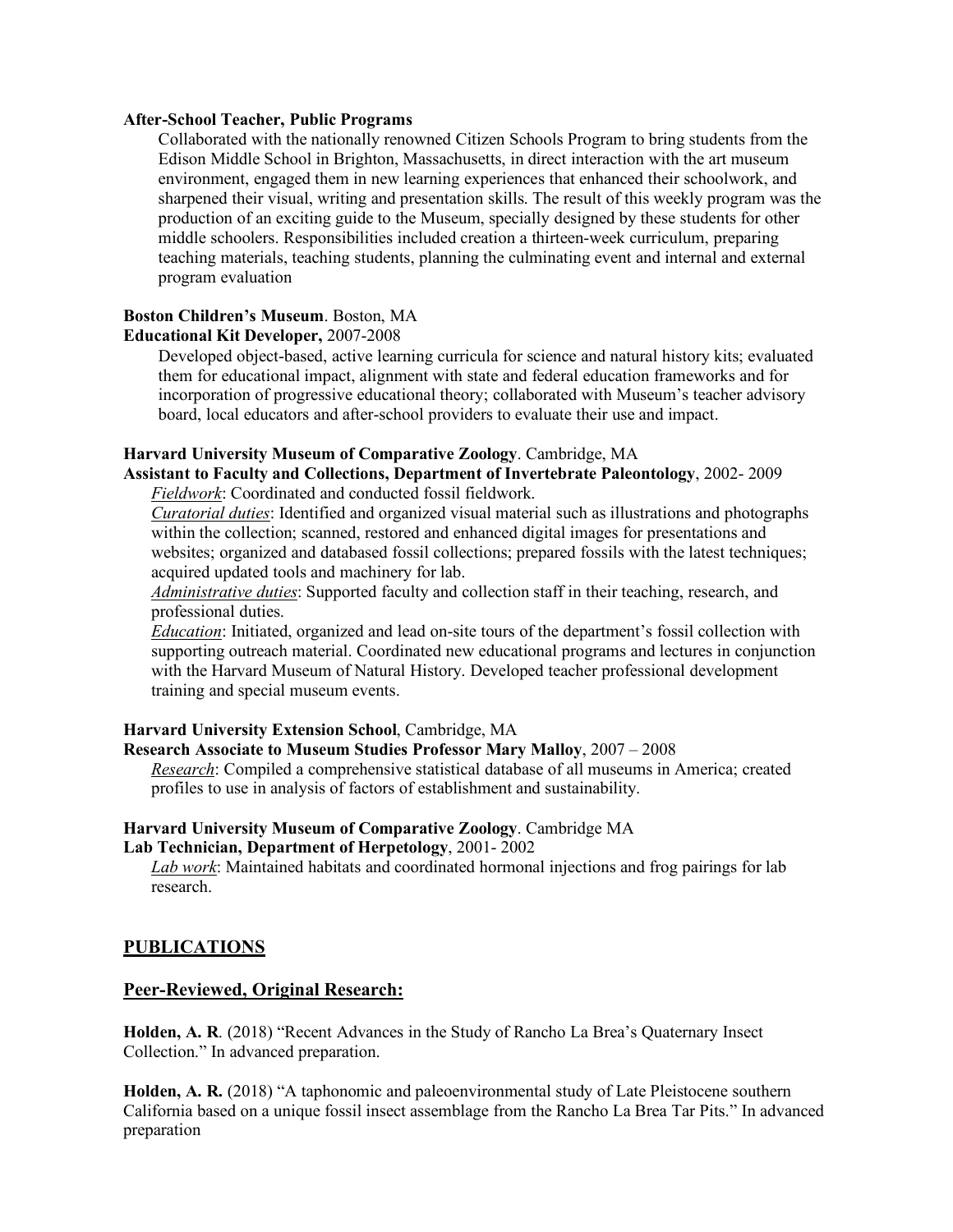#### **After-School Teacher, Public Programs**

Collaborated with the nationally renowned Citizen Schools Program to bring students from the Edison Middle School in Brighton, Massachusetts, in direct interaction with the art museum environment, engaged them in new learning experiences that enhanced their schoolwork, and sharpened their visual, writing and presentation skills. The result of this weekly program was the production of an exciting guide to the Museum, specially designed by these students for other middle schoolers. Responsibilities included creation a thirteen-week curriculum, preparing teaching materials, teaching students, planning the culminating event and internal and external program evaluation

# **Boston Children's Museum**. Boston, MA

## **Educational Kit Developer,** 2007-2008

Developed object-based, active learning curricula for science and natural history kits; evaluated them for educational impact, alignment with state and federal education frameworks and for incorporation of progressive educational theory; collaborated with Museum's teacher advisory board, local educators and after-school providers to evaluate their use and impact.

#### **Harvard University Museum of Comparative Zoology**. Cambridge, MA

**Assistant to Faculty and Collections, Department of Invertebrate Paleontology**, 2002- 2009 *Fieldwork*: Coordinated and conducted fossil fieldwork.

*Curatorial duties*: Identified and organized visual material such as illustrations and photographs within the collection; scanned, restored and enhanced digital images for presentations and websites; organized and databased fossil collections; prepared fossils with the latest techniques; acquired updated tools and machinery for lab.

*Administrative duties*: Supported faculty and collection staff in their teaching, research, and professional duties.

*Education*: Initiated, organized and lead on-site tours of the department's fossil collection with supporting outreach material. Coordinated new educational programs and lectures in conjunction with the Harvard Museum of Natural History. Developed teacher professional development training and special museum events.

#### **Harvard University Extension School**, Cambridge, MA

#### **Research Associate to Museum Studies Professor Mary Malloy**, 2007 – 2008

*Research*: Compiled a comprehensive statistical database of all museums in America; created profiles to use in analysis of factors of establishment and sustainability.

#### **Harvard University Museum of Comparative Zoology**. Cambridge MA **Lab Technician, Department of Herpetology**, 2001- 2002

*Lab work*: Maintained habitats and coordinated hormonal injections and frog pairings for lab research.

#### **PUBLICATIONS**

#### **Peer-Reviewed, Original Research:**

**Holden, A. R**. (2018) "Recent Advances in the Study of Rancho La Brea's Quaternary Insect Collection." In advanced preparation.

**Holden, A. R.** (2018) "A taphonomic and paleoenvironmental study of Late Pleistocene southern California based on a unique fossil insect assemblage from the Rancho La Brea Tar Pits." In advanced preparation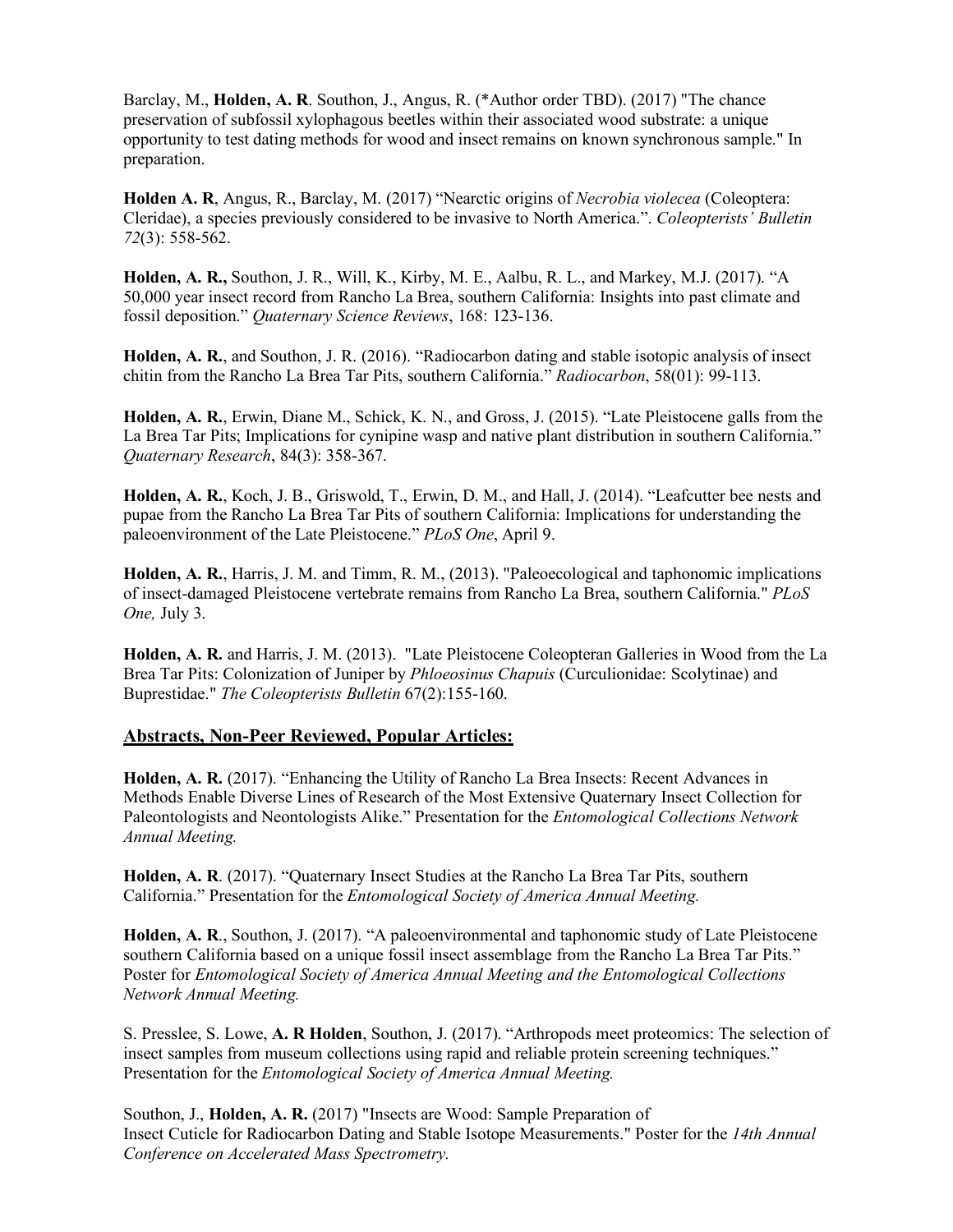Barclay, M., **Holden, A. R**. Southon, J., Angus, R. (\*Author order TBD). (2017) "The chance preservation of subfossil xylophagous beetles within their associated wood substrate: a unique opportunity to test dating methods for wood and insect remains on known synchronous sample." In preparation.

**Holden A. R**, Angus, R., Barclay, M. (2017) "Nearctic origins of *Necrobia violecea* (Coleoptera: Cleridae), a species previously considered to be invasive to North America.". *Coleopterists' Bulletin 72*(3): 558-562.

**Holden, A. R.,** Southon, J. R., Will, K., Kirby, M. E., Aalbu, R. L., and Markey, M.J. (2017). "A 50,000 year insect record from Rancho La Brea, southern California: Insights into past climate and fossil deposition." *Quaternary Science Reviews*, 168: 123-136.

**Holden, A. R.**, and Southon, J. R. (2016). "Radiocarbon dating and stable isotopic analysis of insect chitin from the Rancho La Brea Tar Pits, southern California." *Radiocarbon*, 58(01): 99-113.

**Holden, A. R.**, Erwin, Diane M., Schick, K. N., and Gross, J. (2015). "Late Pleistocene galls from the La Brea Tar Pits; Implications for cynipine wasp and native plant distribution in southern California." *Quaternary Research*, 84(3): 358-367.

**Holden, A. R.**, Koch, J. B., Griswold, T., Erwin, D. M., and Hall, J. (2014). "Leafcutter bee nests and pupae from the Rancho La Brea Tar Pits of southern California: Implications for understanding the paleoenvironment of the Late Pleistocene." *PLoS One*, April 9.

**Holden, A. R.**, Harris, J. M. and Timm, R. M., (2013). "Paleoecological and taphonomic implications of insect-damaged Pleistocene vertebrate remains from Rancho La Brea, southern California." *PLoS One,* July 3.

**Holden, A. R.** and Harris, J. M. (2013). "Late Pleistocene Coleopteran Galleries in Wood from the La Brea Tar Pits: Colonization of Juniper by *Phloeosinus Chapuis* (Curculionidae: Scolytinae) and Buprestidae." *The Coleopterists Bulletin* 67(2):155-160.

#### **Abstracts, Non-Peer Reviewed, Popular Articles:**

**Holden, A. R.** (2017). "Enhancing the Utility of Rancho La Brea Insects: Recent Advances in Methods Enable Diverse Lines of Research of the Most Extensive Quaternary Insect Collection for Paleontologists and Neontologists Alike." Presentation for the *Entomological Collections Network Annual Meeting.*

**Holden, A. R**. (2017). "Quaternary Insect Studies at the Rancho La Brea Tar Pits, southern California." Presentation for the *Entomological Society of America Annual Meeting.*

**Holden, A. R**., Southon, J. (2017). "A paleoenvironmental and taphonomic study of Late Pleistocene southern California based on a unique fossil insect assemblage from the Rancho La Brea Tar Pits." Poster for *Entomological Society of America Annual Meeting and the Entomological Collections Network Annual Meeting.*

S. Presslee, S. Lowe, **A. R Holden**, Southon, J. (2017). "Arthropods meet proteomics: The selection of insect samples from museum collections using rapid and reliable protein screening techniques." Presentation for the *Entomological Society of America Annual Meeting.*

Southon, J., **Holden, A. R.** (2017) "Insects are Wood: Sample Preparation of Insect Cuticle for Radiocarbon Dating and Stable Isotope Measurements." Poster for the *14th Annual Conference on Accelerated Mass Spectrometry.*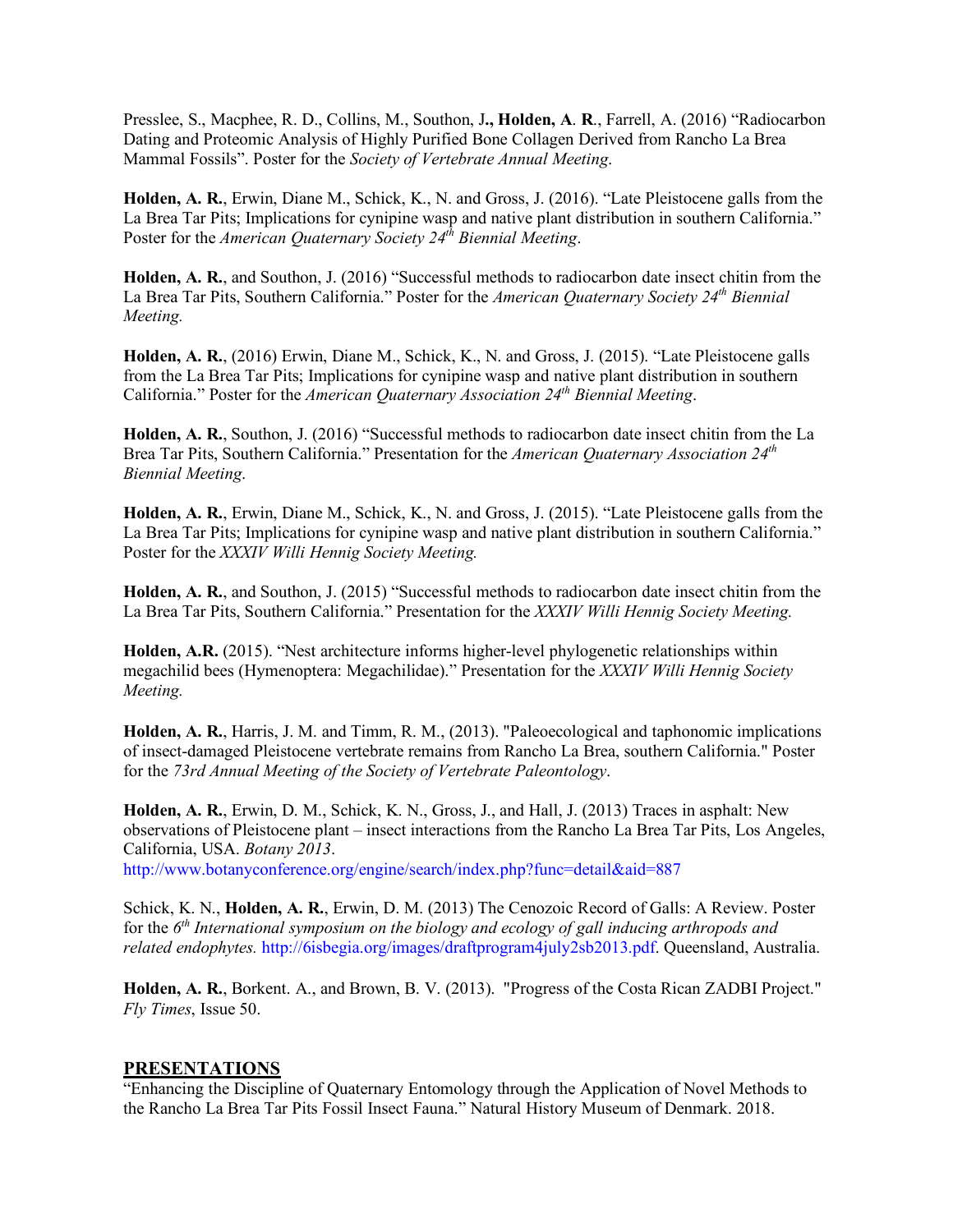Presslee, S., Macphee, R. D., Collins, M., Southon, J**., Holden, A**. **R**., Farrell, A. (2016) "Radiocarbon Dating and Proteomic Analysis of Highly Purified Bone Collagen Derived from Rancho La Brea Mammal Fossils". Poster for the *Society of Vertebrate Annual Meeting*.

**Holden, A. R.**, Erwin, Diane M., Schick, K., N. and Gross, J. (2016). "Late Pleistocene galls from the La Brea Tar Pits; Implications for cynipine wasp and native plant distribution in southern California." Poster for the *American Quaternary Society 24<sup>th</sup> Biennial Meeting.* 

**Holden, A. R.**, and Southon, J. (2016) "Successful methods to radiocarbon date insect chitin from the La Brea Tar Pits, Southern California." Poster for the *American Quaternary Society 24th Biennial Meeting.*

**Holden, A. R.**, (2016) Erwin, Diane M., Schick, K., N. and Gross, J. (2015). "Late Pleistocene galls from the La Brea Tar Pits; Implications for cynipine wasp and native plant distribution in southern California." Poster for the *American Quaternary Association 24th Biennial Meeting*.

**Holden, A. R.**, Southon, J. (2016) "Successful methods to radiocarbon date insect chitin from the La Brea Tar Pits, Southern California." Presentation for the *American Quaternary Association 24th Biennial Meeting*.

**Holden, A. R.**, Erwin, Diane M., Schick, K., N. and Gross, J. (2015). "Late Pleistocene galls from the La Brea Tar Pits; Implications for cynipine wasp and native plant distribution in southern California." Poster for the *XXXIV Willi Hennig Society Meeting.*

**Holden, A. R.**, and Southon, J. (2015) "Successful methods to radiocarbon date insect chitin from the La Brea Tar Pits, Southern California." Presentation for the *XXXIV Willi Hennig Society Meeting.*

**Holden, A.R.** (2015). "Nest architecture informs higher-level phylogenetic relationships within megachilid bees (Hymenoptera: Megachilidae)." Presentation for the *XXXIV Willi Hennig Society Meeting.*

**Holden, A. R.**, Harris, J. M. and Timm, R. M., (2013). "Paleoecological and taphonomic implications of insect-damaged Pleistocene vertebrate remains from Rancho La Brea, southern California." Poster for the *73rd Annual Meeting of the Society of Vertebrate Paleontology*.

**Holden, A. R.**, Erwin, D. M., Schick, K. N., Gross, J., and Hall, J. (2013) Traces in asphalt: New observations of Pleistocene plant – insect interactions from the Rancho La Brea Tar Pits, Los Angeles, California, USA. *Botany 2013*.

http://www.botanyconference.org/engine/search/index.php?func=detail&aid=887

Schick, K. N., **Holden, A. R.**, Erwin, D. M. (2013) The Cenozoic Record of Galls: A Review. Poster for the *6th International symposium on the biology and ecology of gall inducing arthropods and related endophytes.* http://6isbegia.org/images/draftprogram4july2sb2013.pdf. Queensland, Australia.

**Holden, A. R.**, Borkent. A., and Brown, B. V. (2013). "Progress of the Costa Rican ZADBI Project." *Fly Times*, Issue 50.

## **PRESENTATIONS**

"Enhancing the Discipline of Quaternary Entomology through the Application of Novel Methods to the Rancho La Brea Tar Pits Fossil Insect Fauna." Natural History Museum of Denmark. 2018.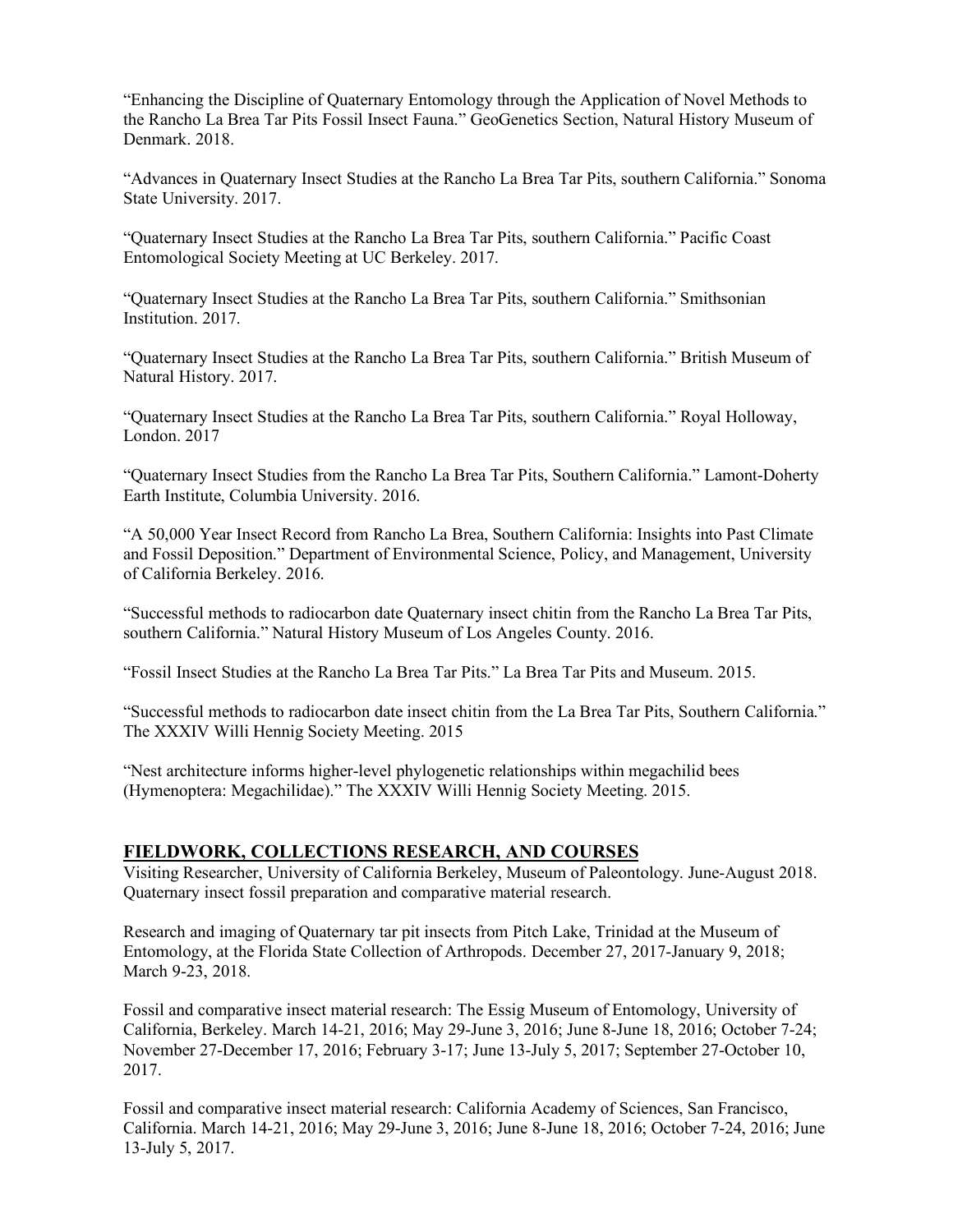"Enhancing the Discipline of Quaternary Entomology through the Application of Novel Methods to the Rancho La Brea Tar Pits Fossil Insect Fauna." GeoGenetics Section, Natural History Museum of Denmark. 2018.

"Advances in Quaternary Insect Studies at the Rancho La Brea Tar Pits, southern California." Sonoma State University. 2017.

"Quaternary Insect Studies at the Rancho La Brea Tar Pits, southern California." Pacific Coast Entomological Society Meeting at UC Berkeley. 2017.

"Quaternary Insect Studies at the Rancho La Brea Tar Pits, southern California." Smithsonian Institution. 2017.

"Quaternary Insect Studies at the Rancho La Brea Tar Pits, southern California." British Museum of Natural History. 2017.

"Quaternary Insect Studies at the Rancho La Brea Tar Pits, southern California." Royal Holloway, London. 2017

"Quaternary Insect Studies from the Rancho La Brea Tar Pits, Southern California." Lamont-Doherty Earth Institute, Columbia University. 2016.

"A 50,000 Year Insect Record from Rancho La Brea, Southern California: Insights into Past Climate and Fossil Deposition." Department of Environmental Science, Policy, and Management, University of California Berkeley. 2016.

"Successful methods to radiocarbon date Quaternary insect chitin from the Rancho La Brea Tar Pits, southern California." Natural History Museum of Los Angeles County. 2016.

"Fossil Insect Studies at the Rancho La Brea Tar Pits." La Brea Tar Pits and Museum. 2015.

"Successful methods to radiocarbon date insect chitin from the La Brea Tar Pits, Southern California." The XXXIV Willi Hennig Society Meeting. 2015

"Nest architecture informs higher-level phylogenetic relationships within megachilid bees (Hymenoptera: Megachilidae)." The XXXIV Willi Hennig Society Meeting. 2015.

#### **FIELDWORK, COLLECTIONS RESEARCH, AND COURSES**

Visiting Researcher, University of California Berkeley, Museum of Paleontology. June-August 2018. Quaternary insect fossil preparation and comparative material research.

Research and imaging of Quaternary tar pit insects from Pitch Lake, Trinidad at the Museum of Entomology, at the Florida State Collection of Arthropods. December 27, 2017-January 9, 2018; March 9-23, 2018.

Fossil and comparative insect material research: The Essig Museum of Entomology, University of California, Berkeley. March 14-21, 2016; May 29-June 3, 2016; June 8-June 18, 2016; October 7-24; November 27-December 17, 2016; February 3-17; June 13-July 5, 2017; September 27-October 10, 2017.

Fossil and comparative insect material research: California Academy of Sciences, San Francisco, California. March 14-21, 2016; May 29-June 3, 2016; June 8-June 18, 2016; October 7-24, 2016; June 13-July 5, 2017.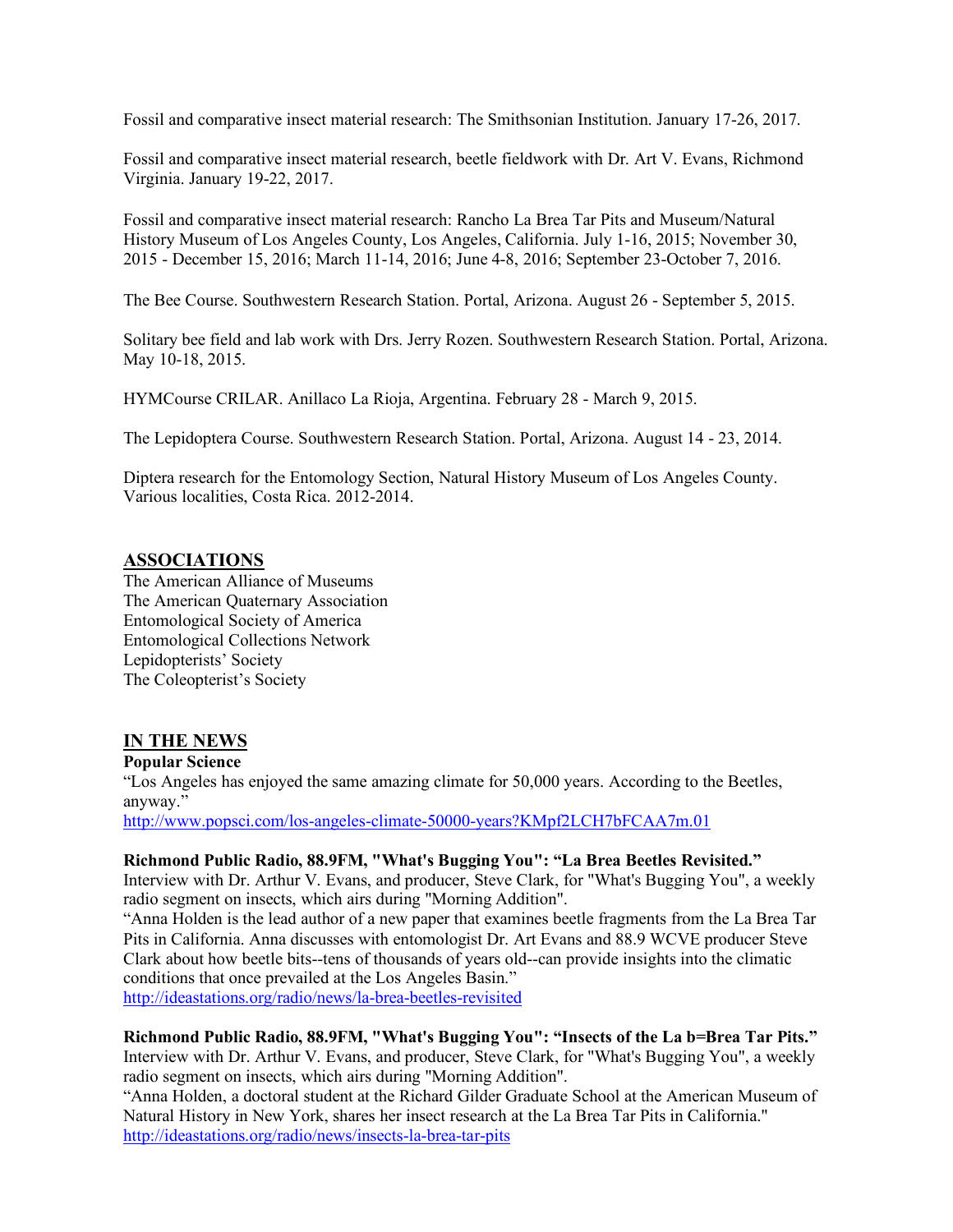Fossil and comparative insect material research: The Smithsonian Institution. January 17-26, 2017.

Fossil and comparative insect material research, beetle fieldwork with Dr. Art V. Evans, Richmond Virginia. January 19-22, 2017.

Fossil and comparative insect material research: Rancho La Brea Tar Pits and Museum/Natural History Museum of Los Angeles County, Los Angeles, California. July 1-16, 2015; November 30, 2015 - December 15, 2016; March 11-14, 2016; June 4-8, 2016; September 23-October 7, 2016.

The Bee Course. Southwestern Research Station. Portal, Arizona. August 26 - September 5, 2015.

Solitary bee field and lab work with Drs. Jerry Rozen. Southwestern Research Station. Portal, Arizona. May 10-18, 2015.

HYMCourse CRILAR. Anillaco La Rioja, Argentina. February 28 - March 9, 2015.

The Lepidoptera Course. Southwestern Research Station. Portal, Arizona. August 14 - 23, 2014.

Diptera research for the Entomology Section, Natural History Museum of Los Angeles County. Various localities, Costa Rica. 2012-2014.

## **ASSOCIATIONS**

The American Alliance of Museums The American Quaternary Association Entomological Society of America Entomological Collections Network Lepidopterists' Society The Coleopterist's Society

## **IN THE NEWS**

**Popular Science**

"Los Angeles has enjoyed the same amazing climate for 50,000 years. According to the Beetles, anyway."

http://www.popsci.com/los-angeles-climate-50000-years?KMpf2LCH7bFCAA7m.01

#### **Richmond Public Radio, 88.9FM, "What's Bugging You": "La Brea Beetles Revisited."**

Interview with Dr. Arthur V. Evans, and producer, Steve Clark, for "What's Bugging You", a weekly radio segment on insects, which airs during "Morning Addition".

"Anna Holden is the lead author of a new paper that examines beetle fragments from the La Brea Tar Pits in California. Anna discusses with entomologist Dr. Art Evans and 88.9 WCVE producer Steve Clark about how beetle bits--tens of thousands of years old--can provide insights into the climatic conditions that once prevailed at the Los Angeles Basin."

http://ideastations.org/radio/news/la-brea-beetles-revisited

**Richmond Public Radio, 88.9FM, "What's Bugging You": "Insects of the La b=Brea Tar Pits."** Interview with Dr. Arthur V. Evans, and producer, Steve Clark, for "What's Bugging You", a weekly radio segment on insects, which airs during "Morning Addition".

"Anna Holden, a doctoral student at the Richard Gilder Graduate School at the American Museum of Natural History in New York, shares her insect research at the La Brea Tar Pits in California." http://ideastations.org/radio/news/insects-la-brea-tar-pits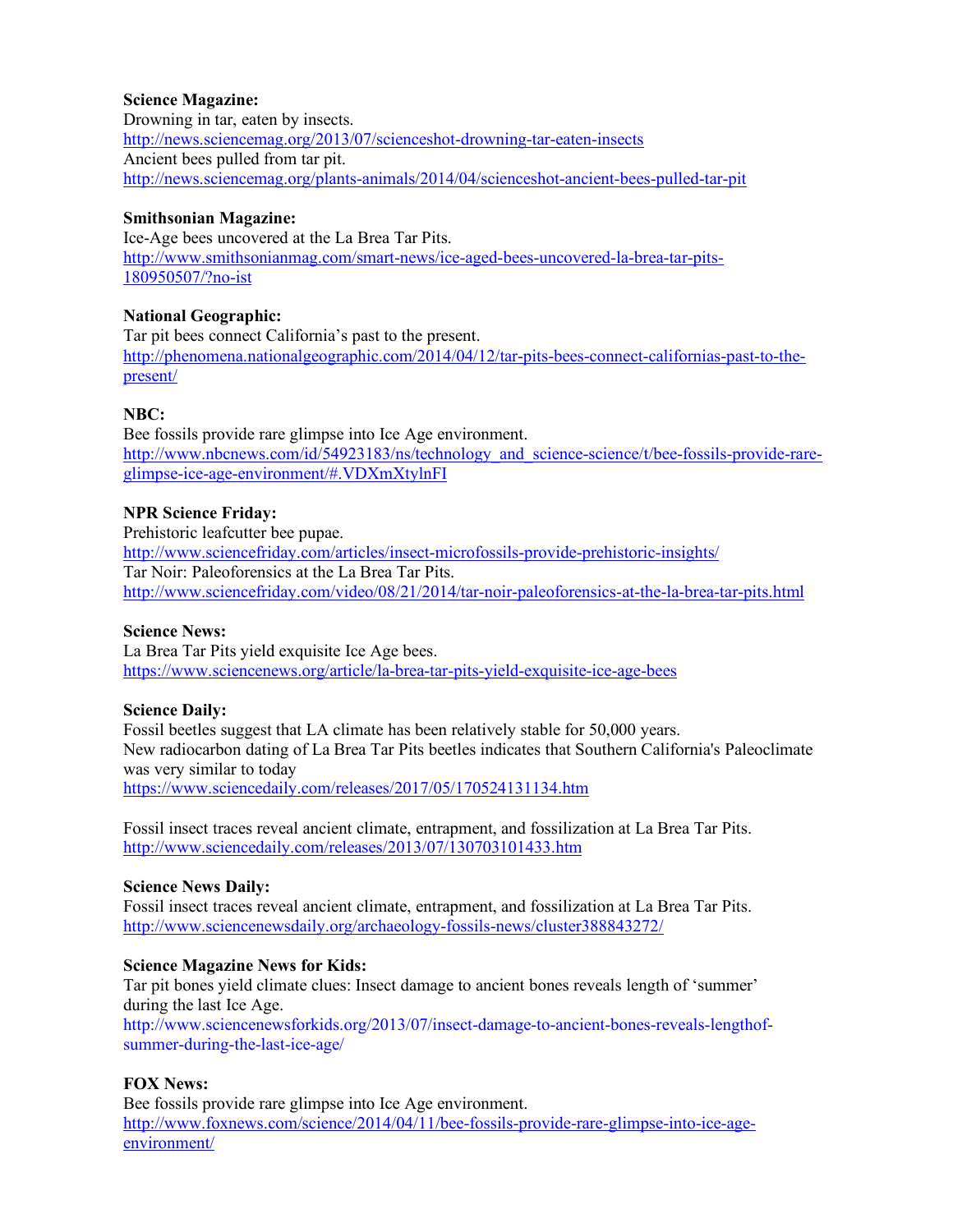## **Science Magazine:**

Drowning in tar, eaten by insects. http://news.sciencemag.org/2013/07/scienceshot-drowning-tar-eaten-insects Ancient bees pulled from tar pit. http://news.sciencemag.org/plants-animals/2014/04/scienceshot-ancient-bees-pulled-tar-pit

## **Smithsonian Magazine:**

Ice-Age bees uncovered at the La Brea Tar Pits. http://www.smithsonianmag.com/smart-news/ice-aged-bees-uncovered-la-brea-tar-pits-180950507/?no-ist

## **National Geographic:**

Tar pit bees connect California's past to the present. http://phenomena.nationalgeographic.com/2014/04/12/tar-pits-bees-connect-californias-past-to-thepresent/

## **NBC:**

Bee fossils provide rare glimpse into Ice Age environment. http://www.nbcnews.com/id/54923183/ns/technology\_and\_science-science/t/bee-fossils-provide-rareglimpse-ice-age-environment/#.VDXmXtylnFI

## **NPR Science Friday:**

Prehistoric leafcutter bee pupae. http://www.sciencefriday.com/articles/insect-microfossils-provide-prehistoric-insights/ Tar Noir: Paleoforensics at the La Brea Tar Pits. http://www.sciencefriday.com/video/08/21/2014/tar-noir-paleoforensics-at-the-la-brea-tar-pits.html

#### **Science News:**

La Brea Tar Pits yield exquisite Ice Age bees. https://www.sciencenews.org/article/la-brea-tar-pits-yield-exquisite-ice-age-bees

## **Science Daily:**

Fossil beetles suggest that LA climate has been relatively stable for 50,000 years. New radiocarbon dating of La Brea Tar Pits beetles indicates that Southern California's Paleoclimate was very similar to today https://www.sciencedaily.com/releases/2017/05/170524131134.htm

Fossil insect traces reveal ancient climate, entrapment, and fossilization at La Brea Tar Pits. http://www.sciencedaily.com/releases/2013/07/130703101433.htm

## **Science News Daily:**

Fossil insect traces reveal ancient climate, entrapment, and fossilization at La Brea Tar Pits. http://www.sciencenewsdaily.org/archaeology-fossils-news/cluster388843272/

## **Science Magazine News for Kids:**

Tar pit bones yield climate clues: Insect damage to ancient bones reveals length of 'summer' during the last Ice Age.

http://www.sciencenewsforkids.org/2013/07/insect-damage-to-ancient-bones-reveals-lengthofsummer-during-the-last-ice-age/

## **FOX News:**

Bee fossils provide rare glimpse into Ice Age environment. http://www.foxnews.com/science/2014/04/11/bee-fossils-provide-rare-glimpse-into-ice-ageenvironment/